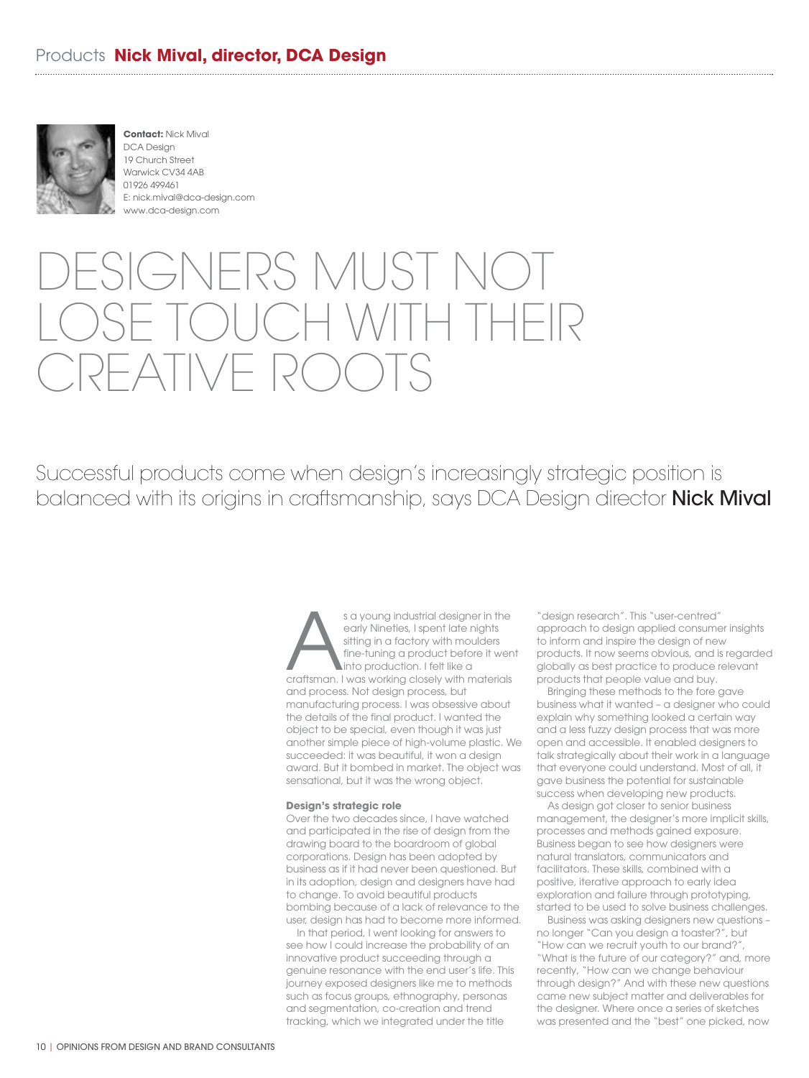

**Contact:** Nick Mival DCA Design 19 Church Street Warwick CV34 4AB 01926 499461 E: nick.mival@dca-design.com www.dca-design.com

## GNERS MUST NC  $\Box$  $-\Delta$ IIVE RO

Successful products come when design's increasingly strategic position is balanced with its origins in craftsmanship, says DCA Design director **Nick Mival** 

> s a young industrial designer in the<br>
> early Nineties, I spent late nights<br>
> sitting in a factory with moulders<br>
> fine-tuning a product before it were<br>
> into production. I felt like a<br>
> craftsman. I was working closely with mat early Nineties, I spent late nights sitting in a factory with moulders fine-tuning a product before it went into production. I felt like a and process. Not design process, but manufacturing process. I was obsessive about the details of the final product. I wanted the object to be special, even though it was just another simple piece of high-volume plastic. We succeeded: it was beautiful, it won a design award. But it bombed in market. The object was sensational, but it was the wrong object.

## **Design's strategic role**

Over the two decades since, I have watched and participated in the rise of design from the drawing board to the boardroom of global corporations. Design has been adopted by business as if it had never been questioned. But in its adoption, design and designers have had to change. To avoid beautiful products bombing because of a lack of relevance to the user, design has had to become more informed.

In that period, I went looking for answers to see how I could increase the probability of an innovative product succeeding through a genuine resonance with the end user's life. This journey exposed designers like me to methods such as focus groups, ethnography, personas and segmentation, co-creation and trend tracking, which we integrated under the title

"design research". This "user-centred" approach to design applied consumer insights to inform and inspire the design of new products. It now seems obvious, and is regarded globally as best practice to produce relevant products that people value and buy.

Bringing these methods to the fore gave business what it wanted – a designer who could explain why something looked a certain way and a less fuzzy design process that was more open and accessible. It enabled designers to talk strategically about their work in a language that everyone could understand. Most of all, it gave business the potential for sustainable success when developing new products.

As design got closer to senior business management, the designer's more implicit skills, processes and methods gained exposure. Business began to see how designers were natural translators, communicators and facilitators. These skills, combined with a positive, iterative approach to early idea exploration and failure through prototyping, started to be used to solve business challenges.

Business was asking designers new questions – no longer "Can you design a toaster?", but "How can we recruit youth to our brand?", "What is the future of our category?" and, more recently, "How can we change behaviour through design?" And with these new questions came new subject matter and deliverables for the designer. Where once a series of sketches was presented and the "best" one picked, now